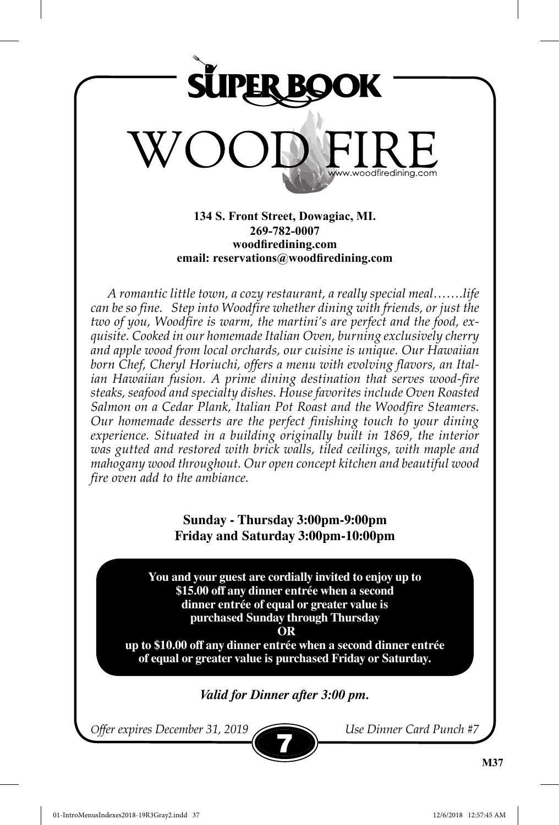

**134 S. Front Street, Dowagiac, MI. 269-782-0007 woodfiredining.com email: reservations@woodfiredining.com**

*A romantic little town, a cozy restaurant, a really special meal…….life can be so fine. Step into Woodfire whether dining with friends, or just the two of you, Woodfire is warm, the martini's are perfect and the food, exquisite. Cooked in our homemade Italian Oven, burning exclusively cherry and apple wood from local orchards, our cuisine is unique. Our Hawaiian born Chef, Cheryl Horiuchi, offers a menu with evolving flavors, an Italian Hawaiian fusion. A prime dining destination that serves wood-fire steaks, seafood and specialty dishes. House favorites include Oven Roasted Salmon on a Cedar Plank, Italian Pot Roast and the Woodfire Steamers. Our homemade desserts are the perfect finishing touch to your dining*  experience. Situated in a building originally built in 1869, the interior *was gutted and restored with brick walls, tiled ceilings, with maple and mahogany wood throughout. Our open concept kitchen and beautiful wood fire oven add to the ambiance.* 

## **Sunday - Thursday 3:00pm-9:00pm Friday and Saturday 3:00pm-10:00pm**

**You and your guest are cordially invited to enjoy up to \$15.00 off any dinner entrée when a second dinner entrée of equal or greater value is purchased Sunday through Thursday**

 **OR** 

**up to \$10.00 off any dinner entrée when a second dinner entrée of equal or greater value is purchased Friday or Saturday.**

## *Valid for Dinner after 3:00 pm.*

*Offer expires December 31, 2019 Use Dinner Card Punch #7*